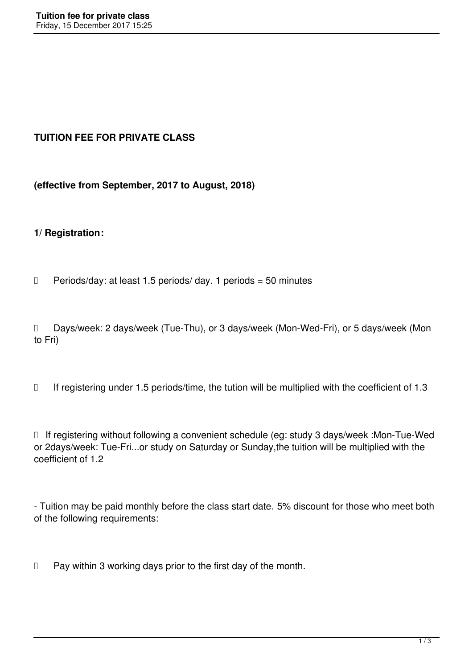# **TUITION FEE FOR PRIVATE CLASS**

**(effective from September, 2017 to August, 2018)**

### **1/ Registration:**

 $\Box$  Periods/day: at least 1.5 periods/ day. 1 periods = 50 minutes

D Days/week: 2 days/week (Tue-Thu), or 3 days/week (Mon-Wed-Fri), or 5 days/week (Mon to Fri)

 $\Box$  If registering under 1.5 periods/time, the tution will be multiplied with the coefficient of 1.3

□ If registering without following a convenient schedule (eg: study 3 days/week :Mon-Tue-Wed or 2days/week: Tue-Fri...or study on Saturday or Sunday,the tuition will be multiplied with the coefficient of 1.2

- Tuition may be paid monthly before the class start date. 5% discount for those who meet both of the following requirements:

 $\Box$  Pay within 3 working days prior to the first day of the month.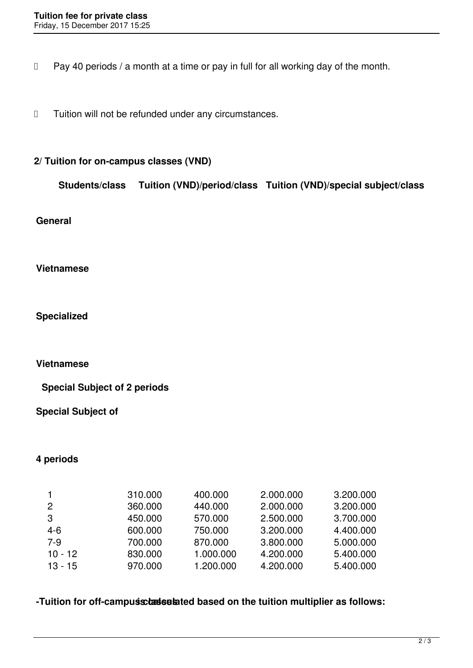$\Box$  Pay 40 periods / a month at a time or pay in full for all working day of the month.

 $\Box$  Tuition will not be refunded under any circumstances.

### **2/ Tuition for on-campus classes (VND)**

| <b>Students/class</b> | Tuition (VND)/period/class Tuition (VND)/special subject/class |
|-----------------------|----------------------------------------------------------------|
|-----------------------|----------------------------------------------------------------|

#### **General**

#### **Vietnamese**

**Specialized**

#### **Vietnamese**

**Special Subject of 2 periods**

### **Special Subject of**

### **4 periods**

| 3.200.000 |
|-----------|
| 3.200.000 |
| 3.700.000 |
| 4.400.000 |
| 5.000.000 |
| 5.400.000 |
| 5.400.000 |
|           |

## **-Tuition for off-campus classes is ted based on the tuition multiplier as follows:**